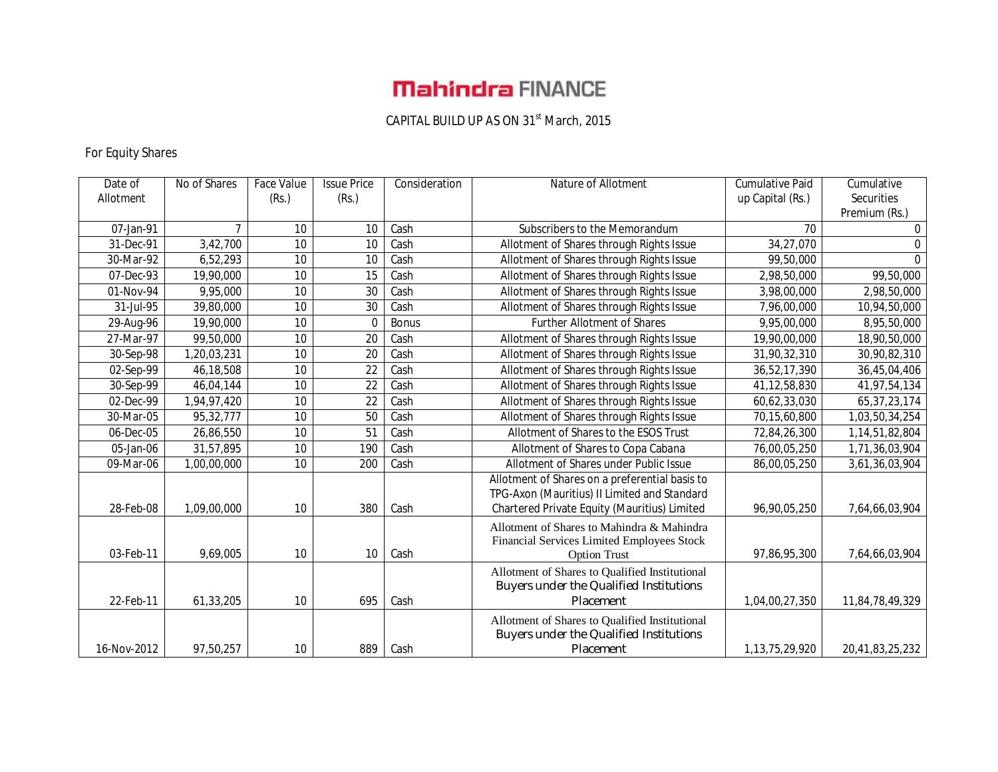# **Mahindra FINANCE**

#### CAPITAL BUILD UP AS ON 31<sup>st</sup> March, 2015

## For Equity Shares

| Date of     | No of Shares | Face Value      | <b>Issue Price</b> | Consideration | Nature of Allotment                                                                          | <b>Cumulative Paid</b> | Cumulative      |
|-------------|--------------|-----------------|--------------------|---------------|----------------------------------------------------------------------------------------------|------------------------|-----------------|
| Allotment   |              | (Rs.)           | (Rs.)              |               |                                                                                              | up Capital (Rs.)       | Securities      |
|             |              |                 |                    |               |                                                                                              |                        | Premium (Rs.)   |
| 07-Jan-91   | 7            | 10              | 10                 | Cash          | Subscribers to the Memorandum                                                                | 70                     | $\mathbf 0$     |
| 31-Dec-91   | 3,42,700     | 10              | 10                 | Cash          | Allotment of Shares through Rights Issue                                                     | 34,27,070              | $\mathbf{0}$    |
| 30-Mar-92   | 6,52,293     | 10              | 10                 | Cash          | Allotment of Shares through Rights Issue                                                     | 99,50,000              | $\Omega$        |
| 07-Dec-93   | 19,90,000    | 10              | 15                 | Cash          | Allotment of Shares through Rights Issue                                                     | 2,98,50,000            | 99,50,000       |
| 01-Nov-94   | 9,95,000     | 10              | 30                 | Cash          | Allotment of Shares through Rights Issue                                                     | 3,98,00,000            | 2,98,50,000     |
| 31-Jul-95   | 39,80,000    | 10              | 30                 | Cash          | Allotment of Shares through Rights Issue                                                     | 7,96,00,000            | 10,94,50,000    |
| 29-Aug-96   | 19,90,000    | 10              | $\Omega$           | <b>Bonus</b>  | <b>Further Allotment of Shares</b>                                                           | 9,95,00,000            | 8,95,50,000     |
| 27-Mar-97   | 99,50,000    | 10              | 20                 | Cash          | Allotment of Shares through Rights Issue                                                     | 19,90,00,000           | 18,90,50,000    |
| 30-Sep-98   | 1,20,03,231  | 10              | 20                 | Cash          | Allotment of Shares through Rights Issue                                                     | 31,90,32,310           | 30,90,82,310    |
| 02-Sep-99   | 46,18,508    | 10              | 22                 | Cash          | Allotment of Shares through Rights Issue                                                     | 36,52,17,390           | 36,45,04,406    |
| 30-Sep-99   | 46,04,144    | 10              | $\overline{22}$    | Cash          | Allotment of Shares through Rights Issue                                                     | 41, 12, 58, 830        | 41,97,54,134    |
| 02-Dec-99   | 1,94,97,420  | 10              | 22                 | Cash          | Allotment of Shares through Rights Issue                                                     | 60,62,33,030           | 65, 37, 23, 174 |
| 30-Mar-05   | 95,32,777    | 10              | 50                 | Cash          | Allotment of Shares through Rights Issue                                                     | 70,15,60,800           | 1,03,50,34,254  |
| 06-Dec-05   | 26,86,550    | 10              | 51                 | Cash          | Allotment of Shares to the ESOS Trust                                                        | 72,84,26,300           | 1,14,51,82,804  |
| 05-Jan-06   | 31,57,895    | $\overline{10}$ | 190                | Cash          | Allotment of Shares to Copa Cabana                                                           | 76,00,05,250           | 1,71,36,03,904  |
| 09-Mar-06   | 1,00,00,000  | 10              | 200                | Cash          | Allotment of Shares under Public Issue                                                       | 86,00,05,250           | 3,61,36,03,904  |
|             |              |                 |                    |               | Allotment of Shares on a preferential basis to                                               |                        |                 |
| 28-Feb-08   | 1,09,00,000  | 10              | 380                | Cash          | TPG-Axon (Mauritius) II Limited and Standard<br>Chartered Private Equity (Mauritius) Limited | 96,90,05,250           | 7,64,66,03,904  |
|             |              |                 |                    |               |                                                                                              |                        |                 |
|             |              |                 |                    |               | Allotment of Shares to Mahindra & Mahindra                                                   |                        |                 |
| 03-Feb-11   | 9,69,005     | 10              | 10                 | Cash          | Financial Services Limited Employees Stock<br><b>Option Trust</b>                            | 97,86,95,300           | 7,64,66,03,904  |
|             |              |                 |                    |               |                                                                                              |                        |                 |
|             |              |                 |                    |               | Allotment of Shares to Qualified Institutional<br>Buyers under the Qualified Institutions    |                        |                 |
| 22-Feb-11   | 61,33,205    | 10              | 695                | Cash          | Placement                                                                                    | 1,04,00,27,350         | 11,84,78,49,329 |
|             |              |                 |                    |               |                                                                                              |                        |                 |
|             |              |                 |                    |               | Allotment of Shares to Qualified Institutional                                               |                        |                 |
|             |              |                 |                    |               | Buyers under the Qualified Institutions                                                      |                        |                 |
| 16-Nov-2012 | 97,50,257    | 10              | 889                | Cash          | Placement                                                                                    | 1,13,75,29,920         | 20,41,83,25,232 |